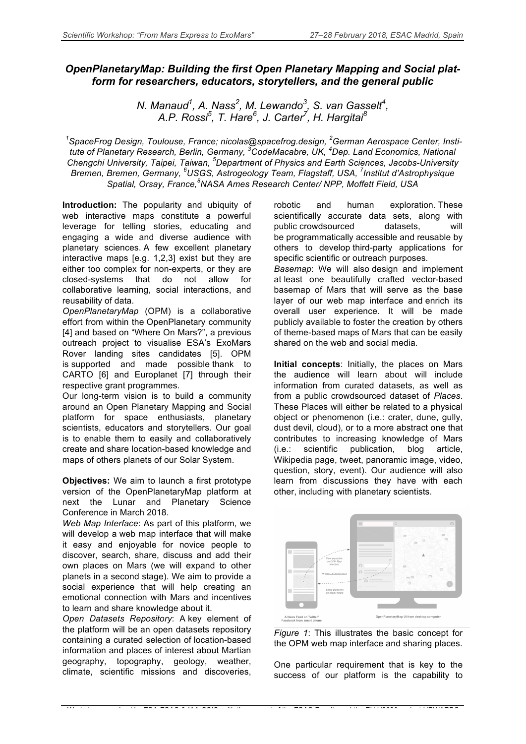## *OpenPlanetaryMap: Building the first Open Planetary Mapping and Social platform for researchers, educators, storytellers, and the general public*

*N. Manaud1 , A. Nass<sup>2</sup> , M. Lewando3 , S. van Gasselt4 , A.P. Rossi<sup>5</sup> , T. Hare<sup>6</sup> , J. Carter7 , H. Hargitai<sup>8</sup>*

*1 SpaceFrog Design, Toulouse, France; nicolas@spacefrog.design, <sup>2</sup> German Aerospace Center, Institute of Planetary Research, Berlin, Germany, <sup>3</sup> CodeMacabre, UK, <sup>4</sup> Dep. Land Economics, National Chengchi University, Taipei, Taiwan, <sup>5</sup> Department of Physics and Earth Sciences, Jacobs-University Bremen, Bremen, Germany, <sup>6</sup> USGS, Astrogeology Team, Flagstaff, USA, <sup>7</sup> Institut d'Astrophysique Spatial, Orsay, France,<sup>8</sup> NASA Ames Research Center/ NPP, Moffett Field, USA*

*Workshop organized by ESA-ESAC & IAA-CSIC, with the support of the ESAC Faculty and the EU H2020 project UPWARDS*

**Introduction:** The popularity and ubiquity of web interactive maps constitute a powerful leverage for telling stories, educating and engaging a wide and diverse audience with planetary sciences. A few excellent planetary interactive maps [e.g. 1,2,3] exist but they are either too complex for non-experts, or they are closed-systems that do not allow for collaborative learning, social interactions, and reusability of data.

*OpenPlanetaryMap* (OPM) is a collaborative effort from within the OpenPlanetary community [4] and based on "Where On Mars?", a previous outreach project to visualise ESA's ExoMars Rover landing sites candidates [5]. OPM is supported and made possible thank to CARTO [6] and Europlanet [7] through their respective grant programmes.

Our long-term vision is to build a community around an Open Planetary Mapping and Social platform for space enthusiasts, planetary scientists, educators and storytellers. Our goal is to enable them to easily and collaboratively create and share location-based knowledge and maps of others planets of our Solar System.

**Objectives:** We aim to launch a first prototype version of the OpenPlanetaryMap platform at next the Lunar and Planetary Science Conference in March 2018.

*Web Map Interface*: As part of this platform, we will develop a web map interface that will make it easy and enjoyable for novice people to discover, search, share, discuss and add their own places on Mars (we will expand to other planets in a second stage). We aim to provide a social experience that will help creating an emotional connection with Mars and incentives to learn and share knowledge about it.

*Open Datasets Repository*: A key element of the platform will be an open datasets repository containing a curated selection of location-based information and places of interest about Martian geography, topography, geology, weather, climate, scientific missions and discoveries,

robotic and human exploration. These scientifically accurate data sets, along with public crowdsourced datasets, will be programmatically accessible and reusable by others to develop third-party applications for specific scientific or outreach purposes.

*Basemap*: We will also design and implement at least one beautifully crafted vector-based basemap of Mars that will serve as the base layer of our web map interface and enrich its overall user experience. It will be made publicly available to foster the creation by others of theme-based maps of Mars that can be easily shared on the web and social media.

**Initial concepts**: Initially, the places on Mars the audience will learn about will include information from curated datasets, as well as from a public crowdsourced dataset of *Places*. These Places will either be related to a physical object or phenomenon (i.e.: crater, dune, gully, dust devil, cloud), or to a more abstract one that contributes to increasing knowledge of Mars (i.e.: scientific publication, blog article, Wikipedia page, tweet, panoramic image, video, question, story, event). Our audience will also learn from discussions they have with each other, including with planetary scientists.



*Figure 1*: This illustrates the basic concept for the OPM web map interface and sharing places.

One particular requirement that is key to the success of our platform is the capability to